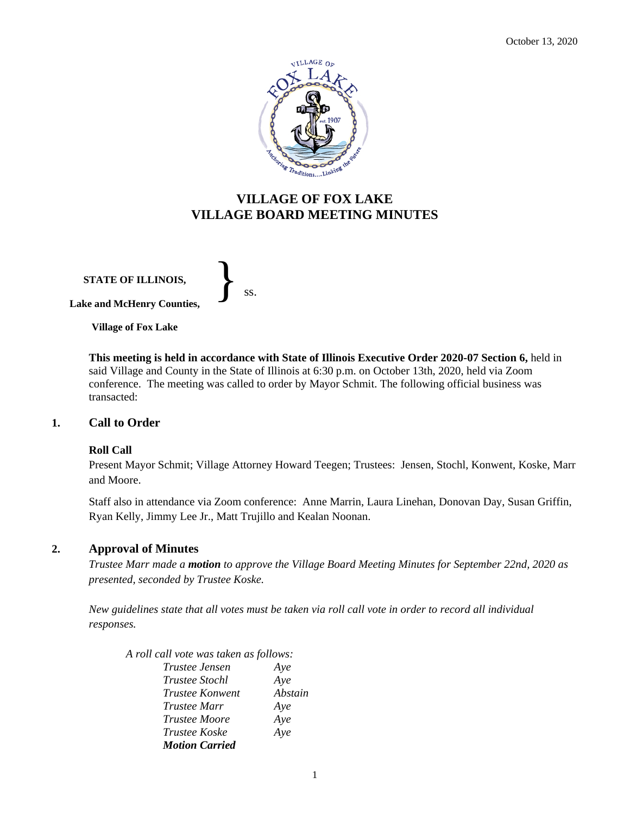

# **VILLAGE OF FOX LAKE VILLAGE BOARD MEETING MINUTES**

**STATE OF ILLINOIS, Lake and McHenry Counties,** 

} ss.

**Village of Fox Lake**

**This meeting is held in accordance with State of Illinois Executive Order 2020-07 Section 6,** held in said Village and County in the State of Illinois at 6:30 p.m. on October 13th, 2020, held via Zoom conference. The meeting was called to order by Mayor Schmit. The following official business was transacted:

## **1. Call to Order**

## **Roll Call**

Present Mayor Schmit; Village Attorney Howard Teegen; Trustees: Jensen, Stochl, Konwent, Koske, Marr and Moore.

Staff also in attendance via Zoom conference: Anne Marrin, Laura Linehan, Donovan Day, Susan Griffin, Ryan Kelly, Jimmy Lee Jr., Matt Trujillo and Kealan Noonan.

## **2. Approval of Minutes**

*Trustee Marr made a motion to approve the Village Board Meeting Minutes for September 22nd, 2020 as presented, seconded by Trustee Koske.* 

*New guidelines state that all votes must be taken via roll call vote in order to record all individual responses.*

*A roll call vote was taken as follows: Trustee Jensen Aye Trustee Stochl Aye Trustee Konwent Abstain Trustee Marr Aye Trustee Moore Aye Trustee Koske Aye Motion Carried*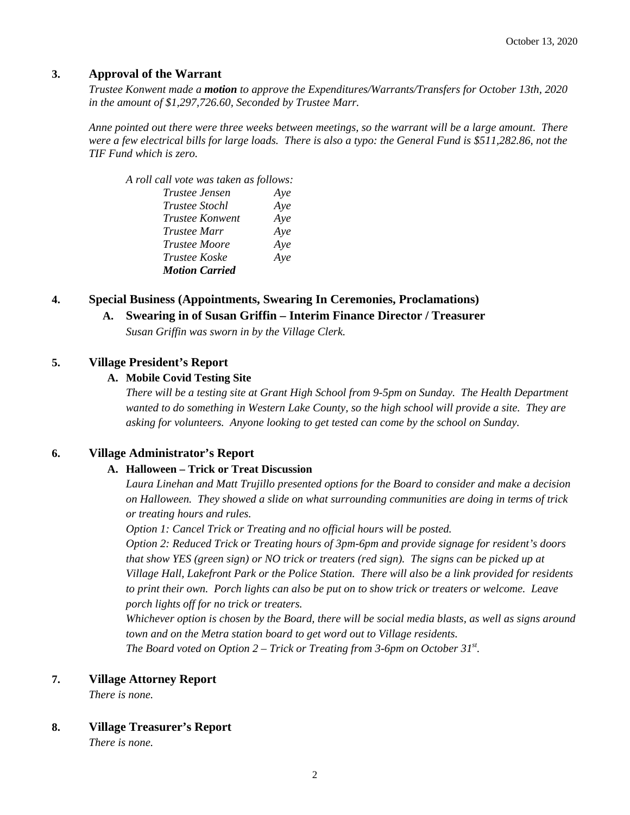## **3. Approval of the Warrant**

*Trustee Konwent made a motion to approve the Expenditures/Warrants/Transfers for October 13th, 2020 in the amount of \$1,297,726.60, Seconded by Trustee Marr.*

*Anne pointed out there were three weeks between meetings, so the warrant will be a large amount. There were a few electrical bills for large loads. There is also a typo: the General Fund is \$511,282.86, not the TIF Fund which is zero.*

## *A roll call vote was taken as follows: Trustee Jensen Aye*

| .   |
|-----|
| Aye |
| Aye |
| Aye |
| Aye |
| Aye |
|     |
|     |

## **4. Special Business (Appointments, Swearing In Ceremonies, Proclamations)**

## **A. Swearing in of Susan Griffin – Interim Finance Director / Treasurer**

*Susan Griffin was sworn in by the Village Clerk.*

## **5. Village President's Report**

## **A. Mobile Covid Testing Site**

*There will be a testing site at Grant High School from 9-5pm on Sunday. The Health Department wanted to do something in Western Lake County, so the high school will provide a site. They are asking for volunteers. Anyone looking to get tested can come by the school on Sunday.* 

## **6. Village Administrator's Report**

## **A. Halloween – Trick or Treat Discussion**

*Laura Linehan and Matt Trujillo presented options for the Board to consider and make a decision on Halloween. They showed a slide on what surrounding communities are doing in terms of trick or treating hours and rules.* 

*Option 1: Cancel Trick or Treating and no official hours will be posted.* 

*Option 2: Reduced Trick or Treating hours of 3pm-6pm and provide signage for resident's doors that show YES (green sign) or NO trick or treaters (red sign). The signs can be picked up at Village Hall, Lakefront Park or the Police Station. There will also be a link provided for residents to print their own. Porch lights can also be put on to show trick or treaters or welcome. Leave porch lights off for no trick or treaters.* 

*Whichever option is chosen by the Board, there will be social media blasts, as well as signs around town and on the Metra station board to get word out to Village residents. The Board voted on Option 2 – Trick or Treating from 3-6pm on October 31st .* 

## **7. Village Attorney Report**

*There is none.*

## **8. Village Treasurer's Report**

*There is none.*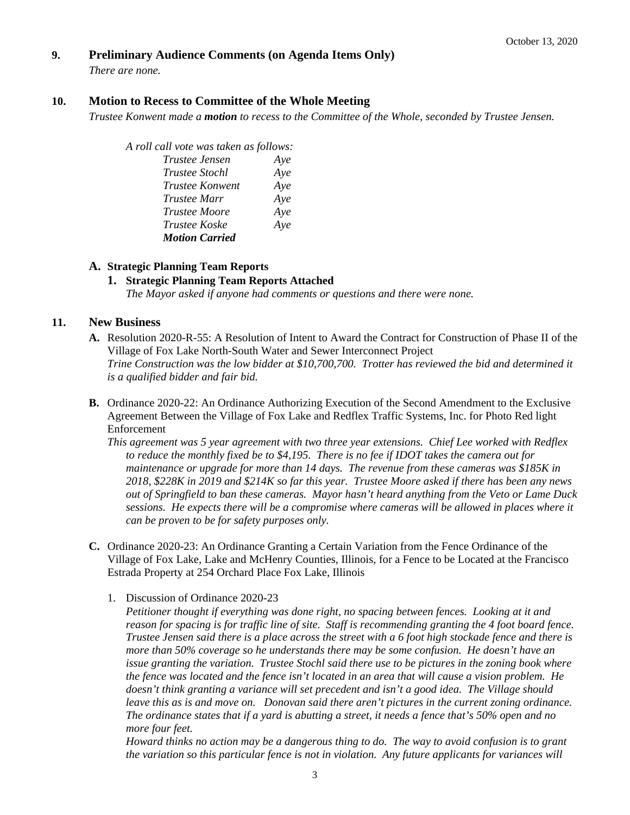## **9. Preliminary Audience Comments (on Agenda Items Only)**

*There are none.* 

## **10. Motion to Recess to Committee of the Whole Meeting**

*Trustee Konwent made a motion to recess to the Committee of the Whole, seconded by Trustee Jensen.* 

*A roll call vote was taken as follows: Trustee Jensen Aye*

| ттимее ленмен         | Ave |
|-----------------------|-----|
| <i>Trustee Stochl</i> | Aye |
| Trustee Konwent       | Aye |
| Trustee Marr          | Aye |
| <i>Trustee Moore</i>  | Aye |
| Trustee Koske         | Aye |
| <b>Motion Carried</b> |     |
|                       |     |

## **A. Strategic Planning Team Reports**

## **1. Strategic Planning Team Reports Attached** *The Mayor asked if anyone had comments or questions and there were none.*

## **11. New Business**

- **A.** Resolution 2020-R-55: A Resolution of Intent to Award the Contract for Construction of Phase II of the Village of Fox Lake North-South Water and Sewer Interconnect Project *Trine Construction was the low bidder at \$10,700,700. Trotter has reviewed the bid and determined it is a qualified bidder and fair bid.*
- **B.** Ordinance 2020-22: An Ordinance Authorizing Execution of the Second Amendment to the Exclusive Agreement Between the Village of Fox Lake and Redflex Traffic Systems, Inc. for Photo Red light Enforcement

*This agreement was 5 year agreement with two three year extensions. Chief Lee worked with Redflex to reduce the monthly fixed be to \$4,195. There is no fee if IDOT takes the camera out for maintenance or upgrade for more than 14 days. The revenue from these cameras was \$185K in 2018, \$228K in 2019 and \$214K so far this year. Trustee Moore asked if there has been any news out of Springfield to ban these cameras. Mayor hasn't heard anything from the Veto or Lame Duck sessions. He expects there will be a compromise where cameras will be allowed in places where it can be proven to be for safety purposes only.* 

- **C.** Ordinance 2020-23: An Ordinance Granting a Certain Variation from the Fence Ordinance of the Village of Fox Lake, Lake and McHenry Counties, Illinois, for a Fence to be Located at the Francisco Estrada Property at 254 Orchard Place Fox Lake, Illinois
	- 1. Discussion of Ordinance 2020-23

*Petitioner thought if everything was done right, no spacing between fences. Looking at it and reason for spacing is for traffic line of site. Staff is recommending granting the 4 foot board fence. Trustee Jensen said there is a place across the street with a 6 foot high stockade fence and there is more than 50% coverage so he understands there may be some confusion. He doesn't have an issue granting the variation. Trustee Stochl said there use to be pictures in the zoning book where the fence was located and the fence isn't located in an area that will cause a vision problem. He doesn't think granting a variance will set precedent and isn't a good idea. The Village should leave this as is and move on. Donovan said there aren't pictures in the current zoning ordinance. The ordinance states that if a yard is abutting a street, it needs a fence that's 50% open and no more four feet.* 

*Howard thinks no action may be a dangerous thing to do. The way to avoid confusion is to grant the variation so this particular fence is not in violation. Any future applicants for variances will*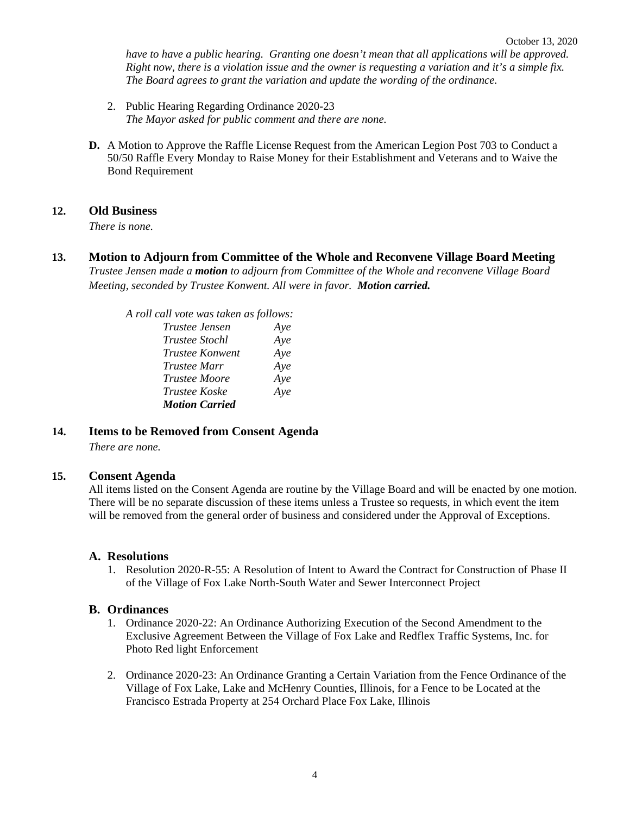have to have a public hearing. Granting one doesn't mean that all applications will be approved. *Right now, there is a violation issue and the owner is requesting a variation and it's a simple fix. The Board agrees to grant the variation and update the wording of the ordinance.* 

- 2. Public Hearing Regarding Ordinance 2020-23 *The Mayor asked for public comment and there are none.*
- **D.** A Motion to Approve the Raffle License Request from the American Legion Post 703 to Conduct a 50/50 Raffle Every Monday to Raise Money for their Establishment and Veterans and to Waive the Bond Requirement

## **12. Old Business**

*There is none.*

**13. Motion to Adjourn from Committee of the Whole and Reconvene Village Board Meeting** *Trustee Jensen made a motion to adjourn from Committee of the Whole and reconvene Village Board Meeting, seconded by Trustee Konwent. All were in favor. Motion carried.* 

> *A roll call vote was taken as follows: Trustee Jensen Aye Trustee Stochl Aye Trustee Konwent Aye Trustee Marr Aye Trustee Moore Aye Trustee Koske Aye Motion Carried*

## **14. Items to be Removed from Consent Agenda**

*There are none.*

## **15. Consent Agenda**

All items listed on the Consent Agenda are routine by the Village Board and will be enacted by one motion. There will be no separate discussion of these items unless a Trustee so requests, in which event the item will be removed from the general order of business and considered under the Approval of Exceptions.

## **A. Resolutions**

1. Resolution 2020-R-55: A Resolution of Intent to Award the Contract for Construction of Phase II of the Village of Fox Lake North-South Water and Sewer Interconnect Project

## **B. Ordinances**

- 1. Ordinance 2020-22: An Ordinance Authorizing Execution of the Second Amendment to the Exclusive Agreement Between the Village of Fox Lake and Redflex Traffic Systems, Inc. for Photo Red light Enforcement
- 2. Ordinance 2020-23: An Ordinance Granting a Certain Variation from the Fence Ordinance of the Village of Fox Lake, Lake and McHenry Counties, Illinois, for a Fence to be Located at the Francisco Estrada Property at 254 Orchard Place Fox Lake, Illinois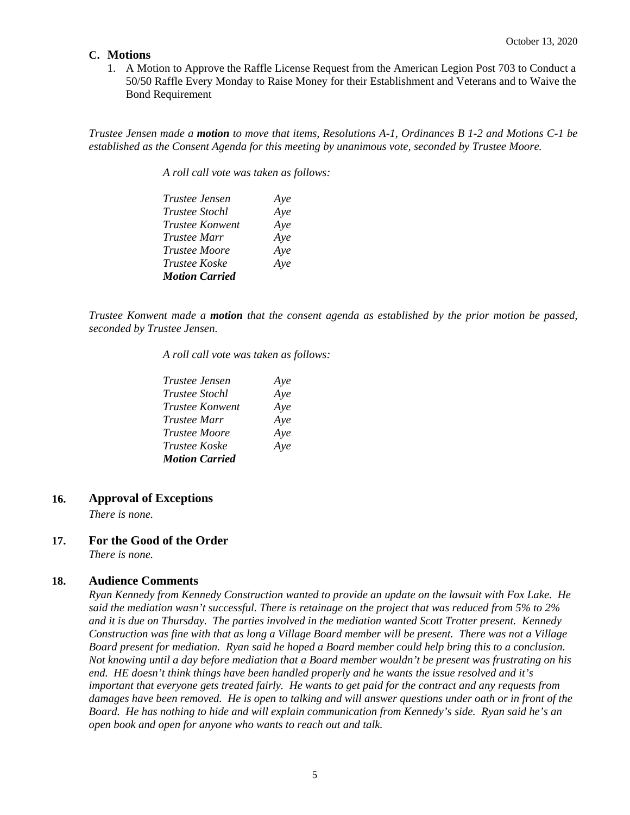## **C. Motions**

1. A Motion to Approve the Raffle License Request from the American Legion Post 703 to Conduct a 50/50 Raffle Every Monday to Raise Money for their Establishment and Veterans and to Waive the Bond Requirement

*Trustee Jensen made a motion to move that items, Resolutions A-1, Ordinances B 1-2 and Motions C-1 be established as the Consent Agenda for this meeting by unanimous vote, seconded by Trustee Moore.*

*A roll call vote was taken as follows:* 

| <i>Trustee Jensen</i> | Aye |
|-----------------------|-----|
| <i>Trustee Stochl</i> | Aye |
| Trustee Konwent       | Aye |
| <i>Trustee Marr</i>   | Aye |
| <i>Trustee Moore</i>  | Aye |
| <i>Trustee Koske</i>  | Aye |
| <b>Motion Carried</b> |     |

*Trustee Konwent made a motion that the consent agenda as established by the prior motion be passed, seconded by Trustee Jensen.*

*A roll call vote was taken as follows:* 

| <i>Trustee Jensen</i>  | Aye |
|------------------------|-----|
| <i>Trustee Stochl</i>  | Aye |
| <b>Trustee Konwent</b> | Aye |
| <i>Trustee Marr</i>    | Aye |
| <i>Trustee Moore</i>   | Aye |
| <i>Trustee Koske</i>   | Aye |
| <b>Motion Carried</b>  |     |

## **16. Approval of Exceptions**

*There is none.*

# **17. For the Good of the Order**

*There is none.*

## **18. Audience Comments**

*Ryan Kennedy from Kennedy Construction wanted to provide an update on the lawsuit with Fox Lake. He said the mediation wasn't successful. There is retainage on the project that was reduced from 5% to 2% and it is due on Thursday. The parties involved in the mediation wanted Scott Trotter present. Kennedy Construction was fine with that as long a Village Board member will be present. There was not a Village Board present for mediation. Ryan said he hoped a Board member could help bring this to a conclusion. Not knowing until a day before mediation that a Board member wouldn't be present was frustrating on his end. HE doesn't think things have been handled properly and he wants the issue resolved and it's important that everyone gets treated fairly. He wants to get paid for the contract and any requests from damages have been removed. He is open to talking and will answer questions under oath or in front of the Board. He has nothing to hide and will explain communication from Kennedy's side. Ryan said he's an open book and open for anyone who wants to reach out and talk.*